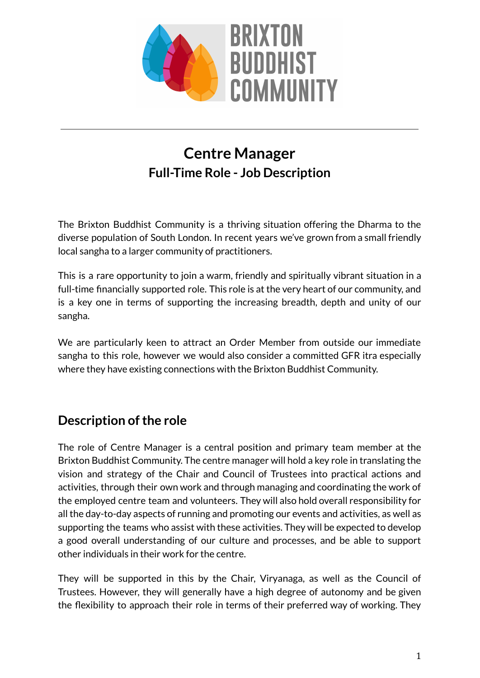

# **Centre Manager Full-Time Role - Job Description**

The Brixton Buddhist Community is a thriving situation offering the Dharma to the diverse population of South London. In recent years we've grown from a small friendly local sangha to a larger community of practitioners.

This is a rare opportunity to join a warm, friendly and spiritually vibrant situation in a full-time financially supported role. This role is at the very heart of our community, and is a key one in terms of supporting the increasing breadth, depth and unity of our sangha.

We are particularly keen to attract an Order Member from outside our immediate sangha to this role, however we would also consider a committed GFR itra especially where they have existing connections with the Brixton Buddhist Community.

## **Description of the role**

The role of Centre Manager is a central position and primary team member at the Brixton Buddhist Community. The centre manager will hold a key role in translating the vision and strategy of the Chair and Council of Trustees into practical actions and activities, through their own work and through managing and coordinating the work of the employed centre team and volunteers. They will also hold overall responsibility for all the day-to-day aspects of running and promoting our events and activities, as well as supporting the teams who assist with these activities. They will be expected to develop a good overall understanding of our culture and processes, and be able to support other individuals in their work for the centre.

They will be supported in this by the Chair, Viryanaga, as well as the Council of Trustees. However, they will generally have a high degree of autonomy and be given the flexibility to approach their role in terms of their preferred way of working. They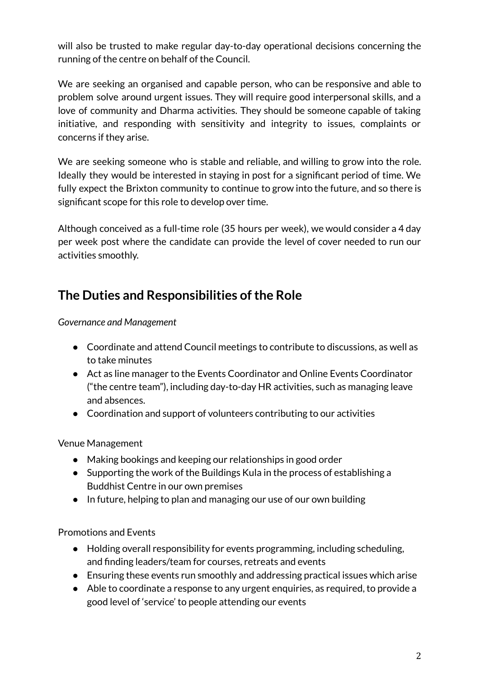will also be trusted to make regular day-to-day operational decisions concerning the running of the centre on behalf of the Council.

We are seeking an organised and capable person, who can be responsive and able to problem solve around urgent issues. They will require good interpersonal skills, and a love of community and Dharma activities. They should be someone capable of taking initiative, and responding with sensitivity and integrity to issues, complaints or concerns if they arise.

We are seeking someone who is stable and reliable, and willing to grow into the role. Ideally they would be interested in staying in post for a significant period of time. We fully expect the Brixton community to continue to grow into the future, and so there is significant scope for this role to develop over time.

Although conceived as a full-time role (35 hours per week), we would consider a 4 day per week post where the candidate can provide the level of cover needed to run our activities smoothly.

# **The Duties and Responsibilities ofthe Role**

*Governance and Management*

- Coordinate and attend Council meetings to contribute to discussions, as well as to take minutes
- Act as line manager to the Events Coordinator and Online Events Coordinator ("the centre team"), including day-to-day HR activities, such as managing leave and absences.
- Coordination and support of volunteers contributing to our activities

Venue Management

- Making bookings and keeping our relationships in good order
- Supporting the work of the Buildings Kula in the process of establishing a Buddhist Centre in our own premises
- In future, helping to plan and managing our use of our own building

Promotions and Events

- Holding overall responsibility for events programming, including scheduling, and finding leaders/team for courses, retreats and events
- Ensuring these events run smoothly and addressing practical issues which arise
- Able to coordinate a response to any urgent enquiries, as required, to provide a good level of 'service' to people attending our events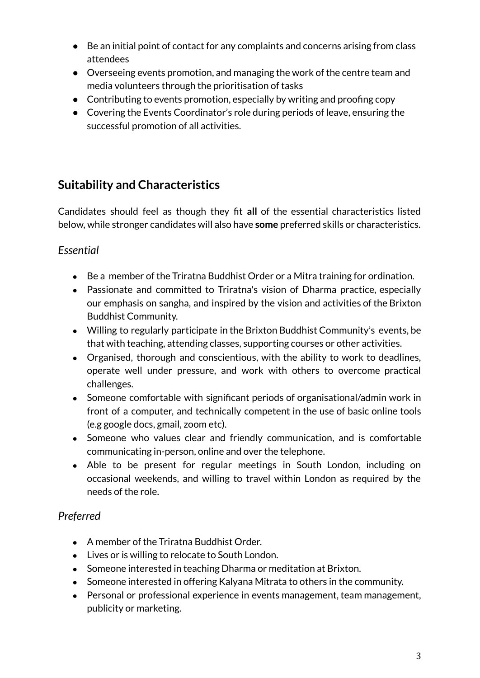- Be an initial point of contact for any complaints and concerns arising from class attendees
- Overseeing events promotion, and managing the work of the centre team and media volunteers through the prioritisation of tasks
- Contributing to events promotion, especially by writing and proofing copy
- Covering the Events Coordinator's role during periods of leave, ensuring the successful promotion of all activities.

### **Suitability and Characteristics**

Candidates should feel as though they fit **all** of the essential characteristics listed below, while stronger candidates will also have **some** preferred skills or characteristics.

### *Essential*

- Be a member of the Triratna Buddhist Order or a Mitra training for ordination.
- Passionate and committed to Triratna's vision of Dharma practice, especially our emphasis on sangha, and inspired by the vision and activities of the Brixton Buddhist Community.
- Willing to regularly participate in the Brixton Buddhist Community's events, be that with teaching, attending classes, supporting courses or other activities.
- Organised, thorough and conscientious, with the ability to work to deadlines, operate well under pressure, and work with others to overcome practical challenges.
- Someone comfortable with significant periods of organisational/admin work in front of a computer, and technically competent in the use of basic online tools (e.g google docs, gmail, zoom etc).
- Someone who values clear and friendly communication, and is comfortable communicating in-person, online and over the telephone.
- Able to be present for regular meetings in South London, including on occasional weekends, and willing to travel within London as required by the needs of the role.

### *Preferred*

- A member of the Triratna Buddhist Order.
- Lives or is willing to relocate to South London.
- Someone interested in teaching Dharma or meditation at Brixton.
- Someone interested in offering Kalyana Mitrata to others in the community.
- Personal or professional experience in events management, team management, publicity or marketing.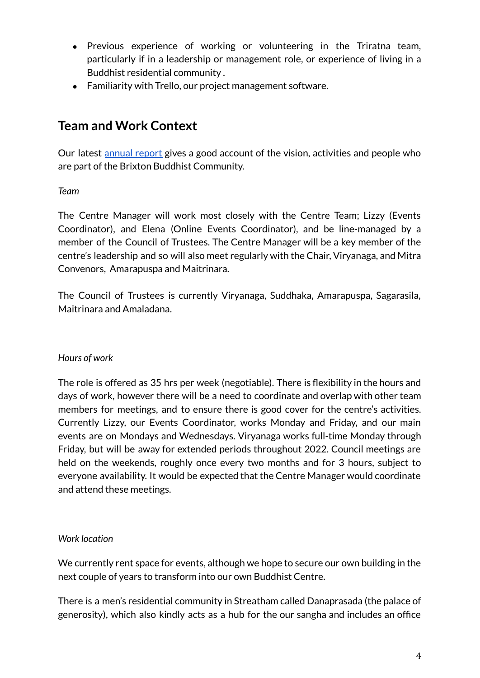- Previous experience of working or volunteering in the Triratna team, particularly if in a leadership or management role, or experience of living in a Buddhist residential community .
- Familiarity with Trello, our project management software.

### **Team and Work Context**

Our latest [annual](https://brixtonbuddhistmeditation.org/annual-general-report-2020) report gives a good account of the vision, activities and people who are part of the Brixton Buddhist Community.

#### *Team*

The Centre Manager will work most closely with the Centre Team; Lizzy (Events Coordinator), and Elena (Online Events Coordinator), and be line-managed by a member of the Council of Trustees. The Centre Manager will be a key member of the centre's leadership and so will also meet regularly with the Chair, Viryanaga, and Mitra Convenors, Amarapuspa and Maitrinara.

The Council of Trustees is currently Viryanaga, Suddhaka, Amarapuspa, Sagarasila, Maitrinara and Amaladana.

#### *Hours of work*

The role is offered as 35 hrs per week (negotiable). There is flexibility in the hours and days of work, however there will be a need to coordinate and overlap with other team members for meetings, and to ensure there is good cover for the centre's activities. Currently Lizzy, our Events Coordinator, works Monday and Friday, and our main events are on Mondays and Wednesdays. Viryanaga works full-time Monday through Friday, but will be away for extended periods throughout 2022. Council meetings are held on the weekends, roughly once every two months and for 3 hours, subject to everyone availability. It would be expected that the Centre Manager would coordinate and attend these meetings.

#### *Work location*

We currently rent space for events, although we hope to secure our own building in the next couple of years to transform into our own Buddhist Centre.

There is a men's residential community in Streatham called Danaprasada (the palace of generosity), which also kindly acts as a hub for the our sangha and includes an office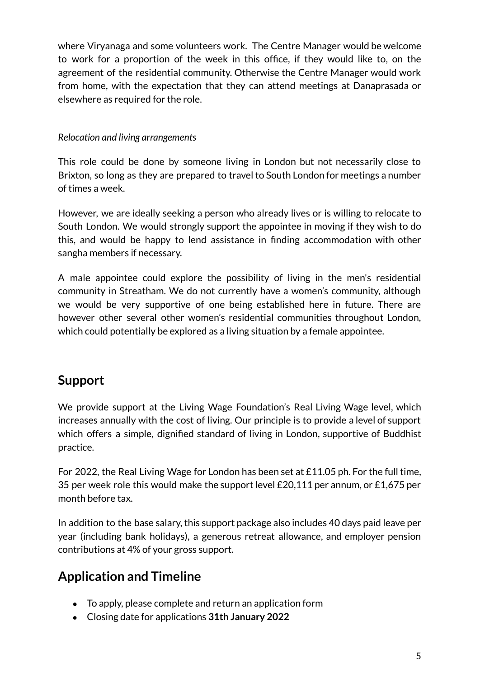where Viryanaga and some volunteers work. The Centre Manager would be welcome to work for a proportion of the week in this office, if they would like to, on the agreement of the residential community. Otherwise the Centre Manager would work from home, with the expectation that they can attend meetings at Danaprasada or elsewhere as required for the role.

#### *Relocation and living arrangements*

This role could be done by someone living in London but not necessarily close to Brixton, so long as they are prepared to travel to South London for meetings a number of times a week.

However, we are ideally seeking a person who already lives or is willing to relocate to South London. We would strongly support the appointee in moving if they wish to do this, and would be happy to lend assistance in finding accommodation with other sangha members if necessary.

A male appointee could explore the possibility of living in the men's residential community in Streatham. We do not currently have a women's community, although we would be very supportive of one being established here in future. There are however other several other women's residential communities throughout London, which could potentially be explored as a living situation by a female appointee.

## **Support**

We provide support at the Living Wage Foundation's Real Living Wage level, which increases annually with the cost of living. Our principle is to provide a level of support which offers a simple, dignified standard of living in London, supportive of Buddhist practice.

For 2022, the Real Living Wage for London has been set at £11.05 ph. For the full time, 35 per week role this would make the support level £20,111 per annum, or £1,675 per month before tax.

In addition to the base salary, this support package also includes 40 days paid leave per year (including bank holidays), a generous retreat allowance, and employer pension contributions at 4% of your gross support.

# **Application and Timeline**

- To apply, please complete and return an application form
- Closing date for applications **31th January 2022**